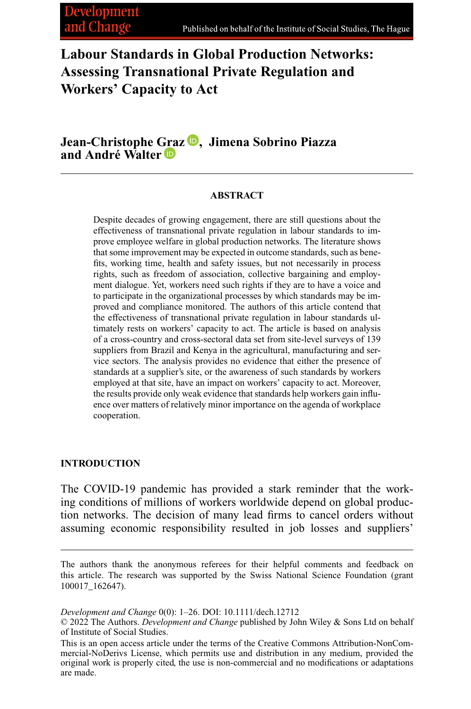**Labour Standards in Global Production Networks: Assessing Transnational Private Regulation and Workers' Capacity to Act**

**Jean-Christophe [Gra](https://orcid.org/0000-0003-1390-778X)z [,](https://orcid.org/0000-0002-5583-8332) Jimena Sobrino Piazza and André Walter**

#### **ABSTRACT**

Despite decades of growing engagement, there are still questions about the effectiveness of transnational private regulation in labour standards to improve employee welfare in global production networks. The literature shows that some improvement may be expected in outcome standards, such as benefits, working time, health and safety issues, but not necessarily in process rights, such as freedom of association, collective bargaining and employment dialogue. Yet, workers need such rights if they are to have a voice and to participate in the organizational processes by which standards may be improved and compliance monitored. The authors of this article contend that the effectiveness of transnational private regulation in labour standards ultimately rests on workers' capacity to act. The article is based on analysis of a cross-country and cross-sectoral data set from site-level surveys of 139 suppliers from Brazil and Kenya in the agricultural, manufacturing and service sectors. The analysis provides no evidence that either the presence of standards at a supplier's site, or the awareness of such standards by workers employed at that site, have an impact on workers' capacity to act. Moreover, the results provide only weak evidence that standards help workers gain influence over matters of relatively minor importance on the agenda of workplace cooperation.

# **INTRODUCTION**

The COVID-19 pandemic has provided a stark reminder that the working conditions of millions of workers worldwide depend on global production networks. The decision of many lead firms to cancel orders without assuming economic responsibility resulted in job losses and suppliers'

*Development and Change* 0(0): 1–26. DOI: 10.1111/dech.12712

The authors thank the anonymous referees for their helpful comments and feedback on this article. The research was supported by the Swiss National Science Foundation (grant 100017\_162647).

<sup>© 2022</sup> The Authors. *Development and Change* published by John Wiley & Sons Ltd on behalf of Institute of Social Studies.

This is an open access article under the terms of the [Creative Commons Attribution-NonCom](http://creativecommons.org/licenses/by-nc-nd/4.0/)[mercial-NoDerivs](http://creativecommons.org/licenses/by-nc-nd/4.0/) License, which permits use and distribution in any medium, provided the original work is properly cited, the use is non-commercial and no modifications or adaptations are made.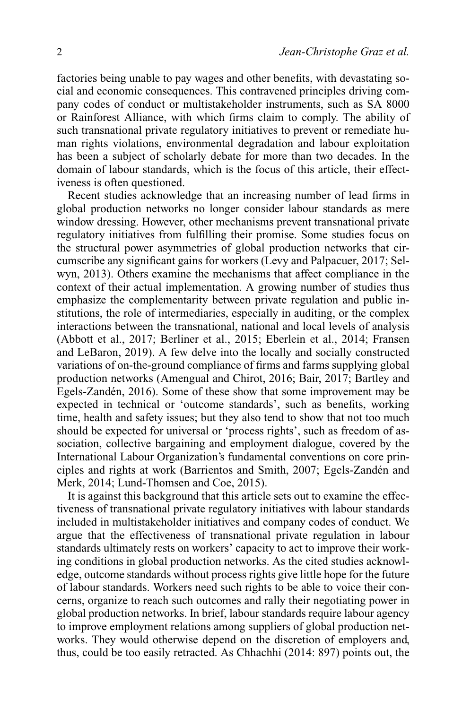factories being unable to pay wages and other benefits, with devastating social and economic consequences. This contravened principles driving company codes of conduct or multistakeholder instruments, such as SA 8000 or Rainforest Alliance, with which firms claim to comply. The ability of such transnational private regulatory initiatives to prevent or remediate human rights violations, environmental degradation and labour exploitation has been a subject of scholarly debate for more than two decades. In the domain of labour standards, which is the focus of this article, their effectiveness is often questioned.

Recent studies acknowledge that an increasing number of lead firms in global production networks no longer consider labour standards as mere window dressing. However, other mechanisms prevent transnational private regulatory initiatives from fulfilling their promise. Some studies focus on the structural power asymmetries of global production networks that circumscribe any significant gains for workers (Levy and Palpacuer, 2017; Selwyn, 2013). Others examine the mechanisms that affect compliance in the context of their actual implementation. A growing number of studies thus emphasize the complementarity between private regulation and public institutions, the role of intermediaries, especially in auditing, or the complex interactions between the transnational, national and local levels of analysis (Abbott et al., 2017; Berliner et al., 2015; Eberlein et al., 2014; Fransen and LeBaron, 2019). A few delve into the locally and socially constructed variations of on-the-ground compliance of firms and farms supplying global production networks (Amengual and Chirot, 2016; Bair, 2017; Bartley and Egels-Zandén, 2016). Some of these show that some improvement may be expected in technical or 'outcome standards', such as benefits, working time, health and safety issues; but they also tend to show that not too much should be expected for universal or 'process rights', such as freedom of association, collective bargaining and employment dialogue, covered by the International Labour Organization's fundamental conventions on core principles and rights at work (Barrientos and Smith, 2007; Egels-Zandén and Merk, 2014; Lund-Thomsen and Coe, 2015).

It is against this background that this article sets out to examine the effectiveness of transnational private regulatory initiatives with labour standards included in multistakeholder initiatives and company codes of conduct. We argue that the effectiveness of transnational private regulation in labour standards ultimately rests on workers' capacity to act to improve their working conditions in global production networks. As the cited studies acknowledge, outcome standards without process rights give little hope for the future of labour standards. Workers need such rights to be able to voice their concerns, organize to reach such outcomes and rally their negotiating power in global production networks. In brief, labour standards require labour agency to improve employment relations among suppliers of global production networks. They would otherwise depend on the discretion of employers and, thus, could be too easily retracted. As Chhachhi (2014: 897) points out, the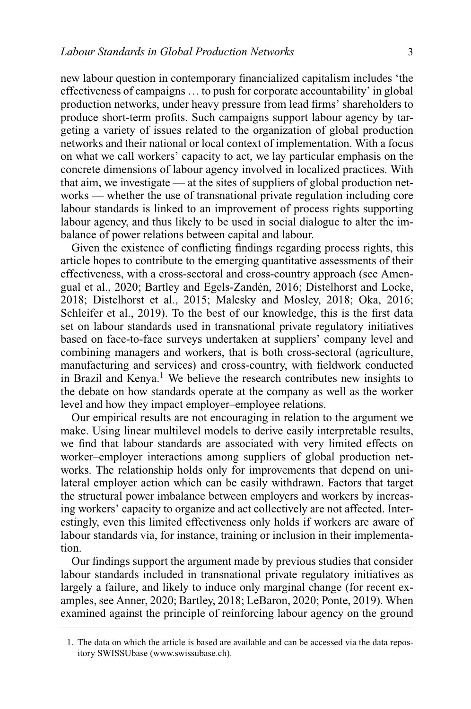new labour question in contemporary financialized capitalism includes 'the effectiveness of campaigns … to push for corporate accountability' in global production networks, under heavy pressure from lead firms' shareholders to produce short-term profits. Such campaigns support labour agency by targeting a variety of issues related to the organization of global production networks and their national or local context of implementation. With a focus on what we call workers' capacity to act, we lay particular emphasis on the concrete dimensions of labour agency involved in localized practices. With that aim, we investigate — at the sites of suppliers of global production networks — whether the use of transnational private regulation including core labour standards is linked to an improvement of process rights supporting labour agency, and thus likely to be used in social dialogue to alter the imbalance of power relations between capital and labour.

Given the existence of conflicting findings regarding process rights, this article hopes to contribute to the emerging quantitative assessments of their effectiveness, with a cross-sectoral and cross-country approach (see Amengual et al., 2020; Bartley and Egels-Zandén, 2016; Distelhorst and Locke, 2018; Distelhorst et al., 2015; Malesky and Mosley, 2018; Oka, 2016; Schleifer et al., 2019). To the best of our knowledge, this is the first data set on labour standards used in transnational private regulatory initiatives based on face-to-face surveys undertaken at suppliers' company level and combining managers and workers, that is both cross-sectoral (agriculture, manufacturing and services) and cross-country, with fieldwork conducted in Brazil and Kenya.<sup>1</sup> We believe the research contributes new insights to the debate on how standards operate at the company as well as the worker level and how they impact employer–employee relations.

Our empirical results are not encouraging in relation to the argument we make. Using linear multilevel models to derive easily interpretable results, we find that labour standards are associated with very limited effects on worker–employer interactions among suppliers of global production networks. The relationship holds only for improvements that depend on unilateral employer action which can be easily withdrawn. Factors that target the structural power imbalance between employers and workers by increasing workers' capacity to organize and act collectively are not affected. Interestingly, even this limited effectiveness only holds if workers are aware of labour standards via, for instance, training or inclusion in their implementation.

Our findings support the argument made by previous studies that consider labour standards included in transnational private regulatory initiatives as largely a failure, and likely to induce only marginal change (for recent examples, see Anner, 2020; Bartley, 2018; LeBaron, 2020; Ponte, 2019). When examined against the principle of reinforcing labour agency on the ground

<sup>1.</sup> The data on which the article is based are available and can be accessed via the data repository SWISSUbase [\(www.swissubase.ch\)](http://www.swissubase.ch).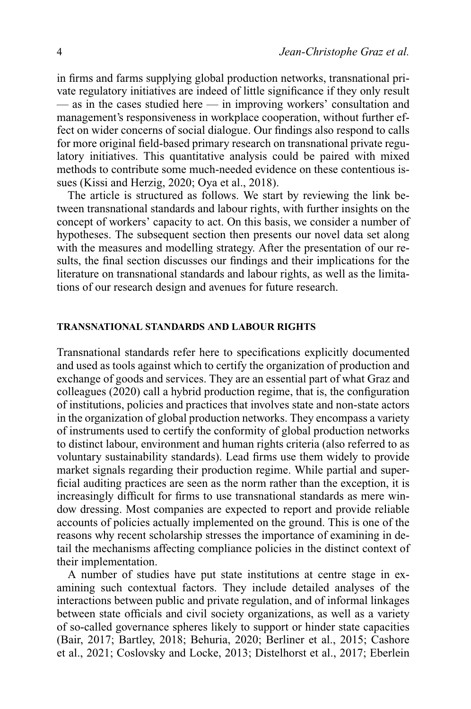in firms and farms supplying global production networks, transnational private regulatory initiatives are indeed of little significance if they only result — as in the cases studied here — in improving workers' consultation and management's responsiveness in workplace cooperation, without further effect on wider concerns of social dialogue. Our findings also respond to calls for more original field-based primary research on transnational private regulatory initiatives. This quantitative analysis could be paired with mixed methods to contribute some much-needed evidence on these contentious issues (Kissi and Herzig, 2020; Oya et al., 2018).

The article is structured as follows. We start by reviewing the link between transnational standards and labour rights, with further insights on the concept of workers' capacity to act. On this basis, we consider a number of hypotheses. The subsequent section then presents our novel data set along with the measures and modelling strategy. After the presentation of our results, the final section discusses our findings and their implications for the literature on transnational standards and labour rights, as well as the limitations of our research design and avenues for future research.

#### **TRANSNATIONAL STANDARDS AND LABOUR RIGHTS**

Transnational standards refer here to specifications explicitly documented and used as tools against which to certify the organization of production and exchange of goods and services. They are an essential part of what Graz and colleagues (2020) call a hybrid production regime, that is, the configuration of institutions, policies and practices that involves state and non-state actors in the organization of global production networks. They encompass a variety of instruments used to certify the conformity of global production networks to distinct labour, environment and human rights criteria (also referred to as voluntary sustainability standards). Lead firms use them widely to provide market signals regarding their production regime. While partial and superficial auditing practices are seen as the norm rather than the exception, it is increasingly difficult for firms to use transnational standards as mere window dressing. Most companies are expected to report and provide reliable accounts of policies actually implemented on the ground. This is one of the reasons why recent scholarship stresses the importance of examining in detail the mechanisms affecting compliance policies in the distinct context of their implementation.

A number of studies have put state institutions at centre stage in examining such contextual factors. They include detailed analyses of the interactions between public and private regulation, and of informal linkages between state officials and civil society organizations, as well as a variety of so-called governance spheres likely to support or hinder state capacities (Bair, 2017; Bartley, 2018; Behuria, 2020; Berliner et al., 2015; Cashore et al., 2021; Coslovsky and Locke, 2013; Distelhorst et al., 2017; Eberlein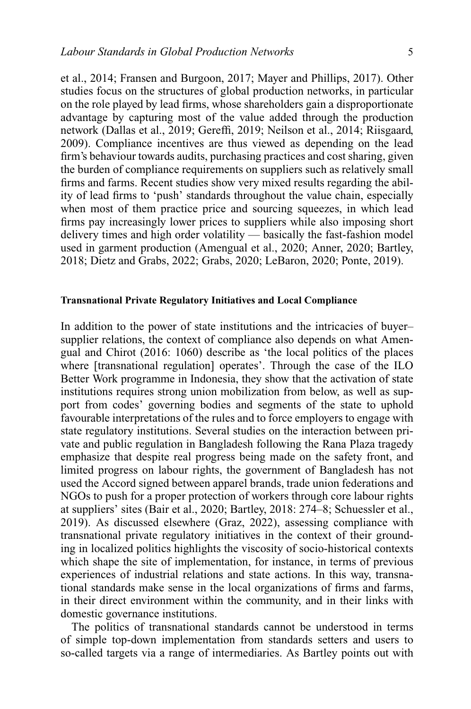et al., 2014; Fransen and Burgoon, 2017; Mayer and Phillips, 2017). Other studies focus on the structures of global production networks, in particular on the role played by lead firms, whose shareholders gain a disproportionate advantage by capturing most of the value added through the production network (Dallas et al., 2019; Gereffi, 2019; Neilson et al., 2014; Riisgaard, 2009). Compliance incentives are thus viewed as depending on the lead firm's behaviour towards audits, purchasing practices and cost sharing, given the burden of compliance requirements on suppliers such as relatively small firms and farms. Recent studies show very mixed results regarding the ability of lead firms to 'push' standards throughout the value chain, especially when most of them practice price and sourcing squeezes, in which lead firms pay increasingly lower prices to suppliers while also imposing short delivery times and high order volatility — basically the fast-fashion model used in garment production (Amengual et al., 2020; Anner, 2020; Bartley, 2018; Dietz and Grabs, 2022; Grabs, 2020; LeBaron, 2020; Ponte, 2019).

## **Transnational Private Regulatory Initiatives and Local Compliance**

In addition to the power of state institutions and the intricacies of buyer– supplier relations, the context of compliance also depends on what Amengual and Chirot (2016: 1060) describe as 'the local politics of the places where [transnational regulation] operates'. Through the case of the ILO Better Work programme in Indonesia, they show that the activation of state institutions requires strong union mobilization from below, as well as support from codes' governing bodies and segments of the state to uphold favourable interpretations of the rules and to force employers to engage with state regulatory institutions. Several studies on the interaction between private and public regulation in Bangladesh following the Rana Plaza tragedy emphasize that despite real progress being made on the safety front, and limited progress on labour rights, the government of Bangladesh has not used the Accord signed between apparel brands, trade union federations and NGOs to push for a proper protection of workers through core labour rights at suppliers' sites (Bair et al., 2020; Bartley, 2018: 274–8; Schuessler et al., 2019). As discussed elsewhere (Graz, 2022), assessing compliance with transnational private regulatory initiatives in the context of their grounding in localized politics highlights the viscosity of socio-historical contexts which shape the site of implementation, for instance, in terms of previous experiences of industrial relations and state actions. In this way, transnational standards make sense in the local organizations of firms and farms, in their direct environment within the community, and in their links with domestic governance institutions.

The politics of transnational standards cannot be understood in terms of simple top-down implementation from standards setters and users to so-called targets via a range of intermediaries. As Bartley points out with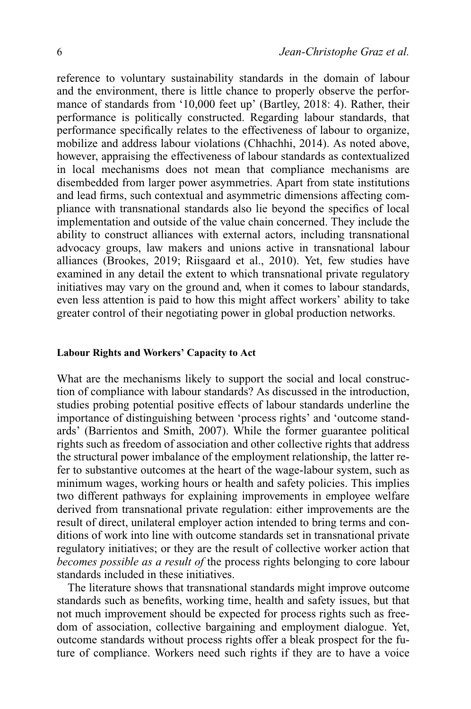reference to voluntary sustainability standards in the domain of labour and the environment, there is little chance to properly observe the performance of standards from '10,000 feet up' (Bartley, 2018: 4). Rather, their performance is politically constructed. Regarding labour standards, that performance specifically relates to the effectiveness of labour to organize, mobilize and address labour violations (Chhachhi, 2014). As noted above, however, appraising the effectiveness of labour standards as contextualized in local mechanisms does not mean that compliance mechanisms are disembedded from larger power asymmetries. Apart from state institutions and lead firms, such contextual and asymmetric dimensions affecting compliance with transnational standards also lie beyond the specifics of local implementation and outside of the value chain concerned. They include the ability to construct alliances with external actors, including transnational advocacy groups, law makers and unions active in transnational labour alliances (Brookes, 2019; Riisgaard et al., 2010). Yet, few studies have examined in any detail the extent to which transnational private regulatory initiatives may vary on the ground and, when it comes to labour standards, even less attention is paid to how this might affect workers' ability to take greater control of their negotiating power in global production networks.

#### **Labour Rights and Workers' Capacity to Act**

What are the mechanisms likely to support the social and local construction of compliance with labour standards? As discussed in the introduction, studies probing potential positive effects of labour standards underline the importance of distinguishing between 'process rights' and 'outcome standards' (Barrientos and Smith, 2007). While the former guarantee political rights such as freedom of association and other collective rights that address the structural power imbalance of the employment relationship, the latter refer to substantive outcomes at the heart of the wage-labour system, such as minimum wages, working hours or health and safety policies. This implies two different pathways for explaining improvements in employee welfare derived from transnational private regulation: either improvements are the result of direct, unilateral employer action intended to bring terms and conditions of work into line with outcome standards set in transnational private regulatory initiatives; or they are the result of collective worker action that *becomes possible as a result of* the process rights belonging to core labour standards included in these initiatives.

The literature shows that transnational standards might improve outcome standards such as benefits, working time, health and safety issues, but that not much improvement should be expected for process rights such as freedom of association, collective bargaining and employment dialogue. Yet, outcome standards without process rights offer a bleak prospect for the future of compliance. Workers need such rights if they are to have a voice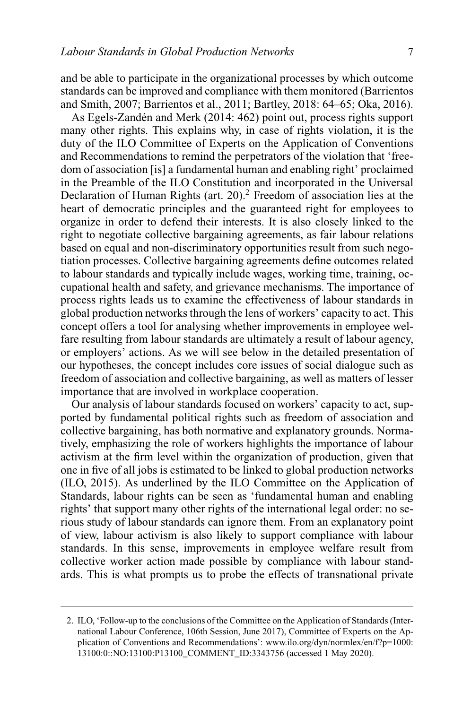and be able to participate in the organizational processes by which outcome standards can be improved and compliance with them monitored (Barrientos and Smith, 2007; Barrientos et al., 2011; Bartley, 2018: 64–65; Oka, 2016).

As Egels-Zandén and Merk (2014: 462) point out, process rights support many other rights. This explains why, in case of rights violation, it is the duty of the ILO Committee of Experts on the Application of Conventions and Recommendations to remind the perpetrators of the violation that 'freedom of association [is] a fundamental human and enabling right' proclaimed in the Preamble of the ILO Constitution and incorporated in the Universal Declaration of Human Rights (art. 20).<sup>2</sup> Freedom of association lies at the heart of democratic principles and the guaranteed right for employees to organize in order to defend their interests. It is also closely linked to the right to negotiate collective bargaining agreements, as fair labour relations based on equal and non-discriminatory opportunities result from such negotiation processes. Collective bargaining agreements define outcomes related to labour standards and typically include wages, working time, training, occupational health and safety, and grievance mechanisms. The importance of process rights leads us to examine the effectiveness of labour standards in global production networks through the lens of workers' capacity to act. This concept offers a tool for analysing whether improvements in employee welfare resulting from labour standards are ultimately a result of labour agency, or employers' actions. As we will see below in the detailed presentation of our hypotheses, the concept includes core issues of social dialogue such as freedom of association and collective bargaining, as well as matters of lesser importance that are involved in workplace cooperation.

Our analysis of labour standards focused on workers' capacity to act, supported by fundamental political rights such as freedom of association and collective bargaining, has both normative and explanatory grounds. Normatively, emphasizing the role of workers highlights the importance of labour activism at the firm level within the organization of production, given that one in five of all jobs is estimated to be linked to global production networks (ILO, 2015). As underlined by the ILO Committee on the Application of Standards, labour rights can be seen as 'fundamental human and enabling rights' that support many other rights of the international legal order: no serious study of labour standards can ignore them. From an explanatory point of view, labour activism is also likely to support compliance with labour standards. In this sense, improvements in employee welfare result from collective worker action made possible by compliance with labour standards. This is what prompts us to probe the effects of transnational private

<sup>2.</sup> ILO, 'Follow-up to the conclusions of the Committee on the Application of Standards (International Labour Conference, 106th Session, June 2017), Committee of Experts on the Application of Conventions and Recommendations': [www.ilo.org/dyn/normlex/en/f?p=1000:](https://www.ilo.org/dyn/normlex/en/f?p=1000:13100:0::NO:13100:P13100_COMMENT_ID:3343756) [13100:0::NO:13100:P13100\\_COMMENT\\_ID:3343756](https://www.ilo.org/dyn/normlex/en/f?p=1000:13100:0::NO:13100:P13100_COMMENT_ID:3343756) (accessed 1 May 2020).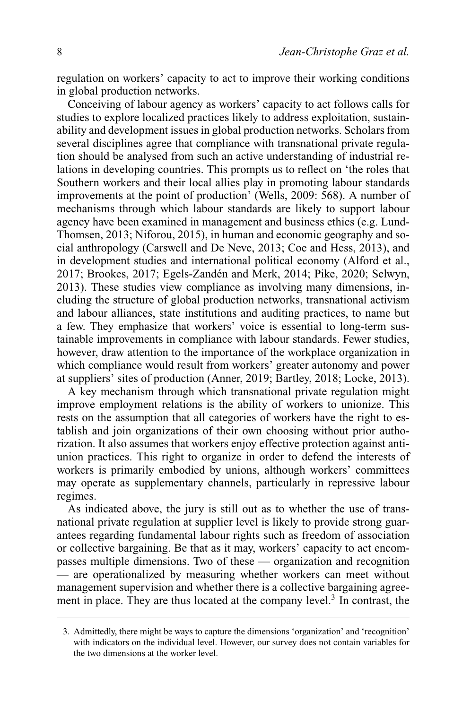regulation on workers' capacity to act to improve their working conditions in global production networks.

Conceiving of labour agency as workers' capacity to act follows calls for studies to explore localized practices likely to address exploitation, sustainability and development issues in global production networks. Scholars from several disciplines agree that compliance with transnational private regulation should be analysed from such an active understanding of industrial relations in developing countries. This prompts us to reflect on 'the roles that Southern workers and their local allies play in promoting labour standards improvements at the point of production' (Wells, 2009: 568). A number of mechanisms through which labour standards are likely to support labour agency have been examined in management and business ethics (e.g. Lund-Thomsen, 2013; Niforou, 2015), in human and economic geography and social anthropology (Carswell and De Neve, 2013; Coe and Hess, 2013), and in development studies and international political economy (Alford et al., 2017; Brookes, 2017; Egels-Zandén and Merk, 2014; Pike, 2020; Selwyn, 2013). These studies view compliance as involving many dimensions, including the structure of global production networks, transnational activism and labour alliances, state institutions and auditing practices, to name but a few. They emphasize that workers' voice is essential to long-term sustainable improvements in compliance with labour standards. Fewer studies, however, draw attention to the importance of the workplace organization in which compliance would result from workers' greater autonomy and power at suppliers' sites of production (Anner, 2019; Bartley, 2018; Locke, 2013).

A key mechanism through which transnational private regulation might improve employment relations is the ability of workers to unionize. This rests on the assumption that all categories of workers have the right to establish and join organizations of their own choosing without prior authorization. It also assumes that workers enjoy effective protection against antiunion practices. This right to organize in order to defend the interests of workers is primarily embodied by unions, although workers' committees may operate as supplementary channels, particularly in repressive labour regimes.

As indicated above, the jury is still out as to whether the use of transnational private regulation at supplier level is likely to provide strong guarantees regarding fundamental labour rights such as freedom of association or collective bargaining. Be that as it may, workers' capacity to act encompasses multiple dimensions. Two of these — organization and recognition — are operationalized by measuring whether workers can meet without management supervision and whether there is a collective bargaining agreement in place. They are thus located at the company level.<sup>3</sup> In contrast, the

<sup>3.</sup> Admittedly, there might be ways to capture the dimensions 'organization' and 'recognition' with indicators on the individual level. However, our survey does not contain variables for the two dimensions at the worker level.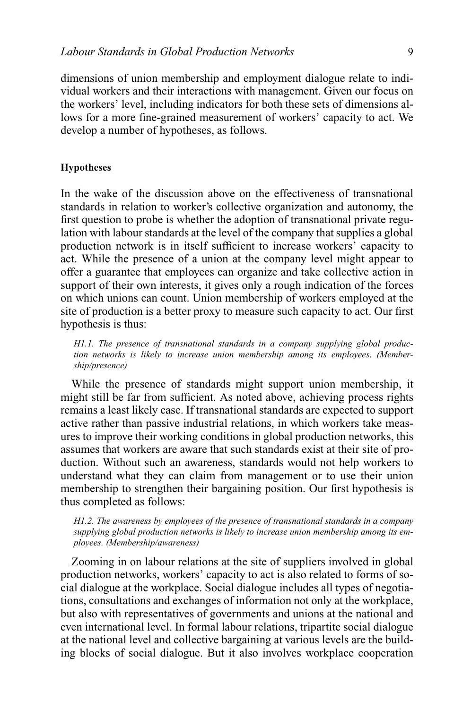dimensions of union membership and employment dialogue relate to individual workers and their interactions with management. Given our focus on the workers' level, including indicators for both these sets of dimensions allows for a more fine-grained measurement of workers' capacity to act. We develop a number of hypotheses, as follows.

# **Hypotheses**

In the wake of the discussion above on the effectiveness of transnational standards in relation to worker's collective organization and autonomy, the first question to probe is whether the adoption of transnational private regulation with labour standards at the level of the company that supplies a global production network is in itself sufficient to increase workers' capacity to act. While the presence of a union at the company level might appear to offer a guarantee that employees can organize and take collective action in support of their own interests, it gives only a rough indication of the forces on which unions can count. Union membership of workers employed at the site of production is a better proxy to measure such capacity to act. Our first hypothesis is thus:

*H1.1. The presence of transnational standards in a company supplying global production networks is likely to increase union membership among its employees. (Membership/presence)*

While the presence of standards might support union membership, it might still be far from sufficient. As noted above, achieving process rights remains a least likely case. If transnational standards are expected to support active rather than passive industrial relations, in which workers take measures to improve their working conditions in global production networks, this assumes that workers are aware that such standards exist at their site of production. Without such an awareness, standards would not help workers to understand what they can claim from management or to use their union membership to strengthen their bargaining position. Our first hypothesis is thus completed as follows:

*H1.2. The awareness by employees of the presence of transnational standards in a company supplying global production networks is likely to increase union membership among its employees. (Membership/awareness)*

Zooming in on labour relations at the site of suppliers involved in global production networks, workers' capacity to act is also related to forms of social dialogue at the workplace. Social dialogue includes all types of negotiations, consultations and exchanges of information not only at the workplace, but also with representatives of governments and unions at the national and even international level. In formal labour relations, tripartite social dialogue at the national level and collective bargaining at various levels are the building blocks of social dialogue. But it also involves workplace cooperation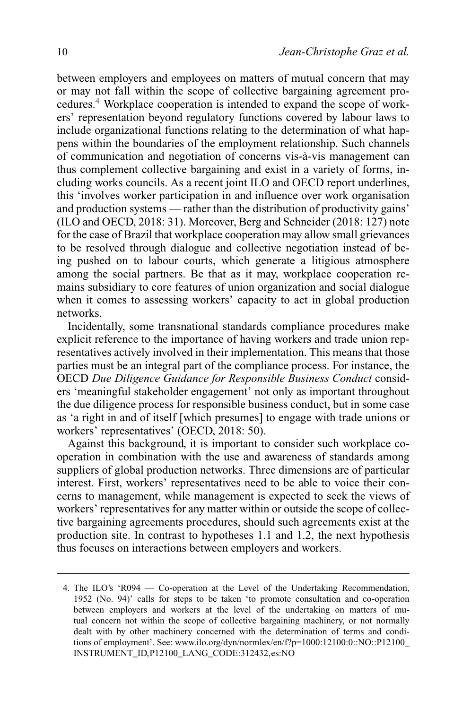between employers and employees on matters of mutual concern that may or may not fall within the scope of collective bargaining agreement procedures.4 Workplace cooperation is intended to expand the scope of workers' representation beyond regulatory functions covered by labour laws to include organizational functions relating to the determination of what happens within the boundaries of the employment relationship. Such channels of communication and negotiation of concerns vis-à-vis management can thus complement collective bargaining and exist in a variety of forms, including works councils. As a recent joint ILO and OECD report underlines, this 'involves worker participation in and influence over work organisation and production systems — rather than the distribution of productivity gains' (ILO and OECD, 2018: 31). Moreover, Berg and Schneider (2018: 127) note for the case of Brazil that workplace cooperation may allow small grievances to be resolved through dialogue and collective negotiation instead of being pushed on to labour courts, which generate a litigious atmosphere among the social partners. Be that as it may, workplace cooperation remains subsidiary to core features of union organization and social dialogue when it comes to assessing workers' capacity to act in global production networks.

Incidentally, some transnational standards compliance procedures make explicit reference to the importance of having workers and trade union representatives actively involved in their implementation. This means that those parties must be an integral part of the compliance process. For instance, the OECD *Due Diligence Guidance for Responsible Business Conduct* considers 'meaningful stakeholder engagement' not only as important throughout the due diligence process for responsible business conduct, but in some case as 'a right in and of itself [which presumes] to engage with trade unions or workers' representatives' (OECD, 2018: 50).

Against this background, it is important to consider such workplace cooperation in combination with the use and awareness of standards among suppliers of global production networks. Three dimensions are of particular interest. First, workers' representatives need to be able to voice their concerns to management, while management is expected to seek the views of workers' representatives for any matter within or outside the scope of collective bargaining agreements procedures, should such agreements exist at the production site. In contrast to hypotheses 1.1 and 1.2, the next hypothesis thus focuses on interactions between employers and workers.

<sup>4.</sup> The ILO's 'R094 — Co-operation at the Level of the Undertaking Recommendation, 1952 (No. 94)' calls for steps to be taken 'to promote consultation and co-operation between employers and workers at the level of the undertaking on matters of mutual concern not within the scope of collective bargaining machinery, or not normally dealt with by other machinery concerned with the determination of terms and conditions of employment'. See: [www.ilo.org/dyn/normlex/en/f?p=1000:12100:0::NO::P12100\\_](http://www.ilo.org/dyn/normlex/en/f?p=1000:12100:0::NO::P12100_INSTRUMENT_ID,P12100_LANG_CODE:312432,es:NO) [INSTRUMENT\\_ID,P12100\\_LANG\\_CODE:312432,es:NO](http://www.ilo.org/dyn/normlex/en/f?p=1000:12100:0::NO::P12100_INSTRUMENT_ID,P12100_LANG_CODE:312432,es:NO)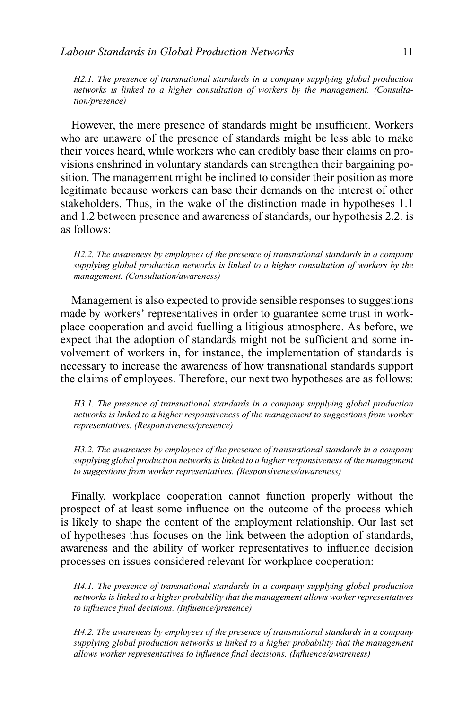*H2.1. The presence of transnational standards in a company supplying global production networks is linked to a higher consultation of workers by the management. (Consultation/presence)*

However, the mere presence of standards might be insufficient. Workers who are unaware of the presence of standards might be less able to make their voices heard, while workers who can credibly base their claims on provisions enshrined in voluntary standards can strengthen their bargaining position. The management might be inclined to consider their position as more legitimate because workers can base their demands on the interest of other stakeholders. Thus, in the wake of the distinction made in hypotheses 1.1 and 1.2 between presence and awareness of standards, our hypothesis 2.2. is as follows:

*H2.2. The awareness by employees of the presence of transnational standards in a company supplying global production networks is linked to a higher consultation of workers by the management. (Consultation/awareness)*

Management is also expected to provide sensible responses to suggestions made by workers' representatives in order to guarantee some trust in workplace cooperation and avoid fuelling a litigious atmosphere. As before, we expect that the adoption of standards might not be sufficient and some involvement of workers in, for instance, the implementation of standards is necessary to increase the awareness of how transnational standards support the claims of employees. Therefore, our next two hypotheses are as follows:

*H3.1. The presence of transnational standards in a company supplying global production networks is linked to a higher responsiveness of the management to suggestions from worker representatives. (Responsiveness/presence)*

*H3.2. The awareness by employees of the presence of transnational standards in a company supplying global production networks is linked to a higher responsiveness of the management to suggestions from worker representatives. (Responsiveness/awareness)*

Finally, workplace cooperation cannot function properly without the prospect of at least some influence on the outcome of the process which is likely to shape the content of the employment relationship. Our last set of hypotheses thus focuses on the link between the adoption of standards, awareness and the ability of worker representatives to influence decision processes on issues considered relevant for workplace cooperation:

*H4.1. The presence of transnational standards in a company supplying global production networks is linked to a higher probability that the management allows worker representatives to influence final decisions. (Influence/presence)*

*H4.2. The awareness by employees of the presence of transnational standards in a company supplying global production networks is linked to a higher probability that the management allows worker representatives to influence final decisions. (Influence/awareness)*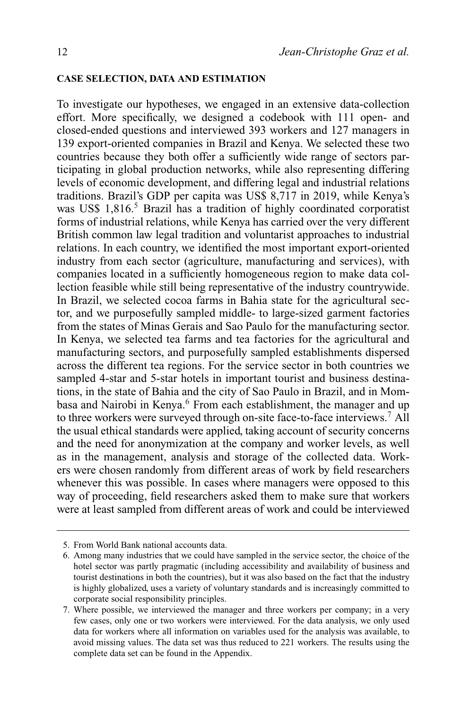#### **CASE SELECTION, DATA AND ESTIMATION**

To investigate our hypotheses, we engaged in an extensive data-collection effort. More specifically, we designed a codebook with 111 open- and closed-ended questions and interviewed 393 workers and 127 managers in 139 export-oriented companies in Brazil and Kenya. We selected these two countries because they both offer a sufficiently wide range of sectors participating in global production networks, while also representing differing levels of economic development, and differing legal and industrial relations traditions. Brazil's GDP per capita was US\$ 8,717 in 2019, while Kenya's was US\$ 1,816.<sup>5</sup> Brazil has a tradition of highly coordinated corporatist forms of industrial relations, while Kenya has carried over the very different British common law legal tradition and voluntarist approaches to industrial relations. In each country, we identified the most important export-oriented industry from each sector (agriculture, manufacturing and services), with companies located in a sufficiently homogeneous region to make data collection feasible while still being representative of the industry countrywide. In Brazil, we selected cocoa farms in Bahia state for the agricultural sector, and we purposefully sampled middle- to large-sized garment factories from the states of Minas Gerais and Sao Paulo for the manufacturing sector. In Kenya, we selected tea farms and tea factories for the agricultural and manufacturing sectors, and purposefully sampled establishments dispersed across the different tea regions. For the service sector in both countries we sampled 4-star and 5-star hotels in important tourist and business destinations, in the state of Bahia and the city of Sao Paulo in Brazil, and in Mombasa and Nairobi in Kenya.<sup>6</sup> From each establishment, the manager and up to three workers were surveyed through on-site face-to-face interviews.<sup>7</sup> All the usual ethical standards were applied, taking account of security concerns and the need for anonymization at the company and worker levels, as well as in the management, analysis and storage of the collected data. Workers were chosen randomly from different areas of work by field researchers whenever this was possible. In cases where managers were opposed to this way of proceeding, field researchers asked them to make sure that workers were at least sampled from different areas of work and could be interviewed

<sup>5.</sup> From World Bank national accounts data.

<sup>6.</sup> Among many industries that we could have sampled in the service sector, the choice of the hotel sector was partly pragmatic (including accessibility and availability of business and tourist destinations in both the countries), but it was also based on the fact that the industry is highly globalized, uses a variety of voluntary standards and is increasingly committed to corporate social responsibility principles.

<sup>7.</sup> Where possible, we interviewed the manager and three workers per company; in a very few cases, only one or two workers were interviewed. For the data analysis, we only used data for workers where all information on variables used for the analysis was available, to avoid missing values. The data set was thus reduced to 221 workers. The results using the complete data set can be found in the Appendix.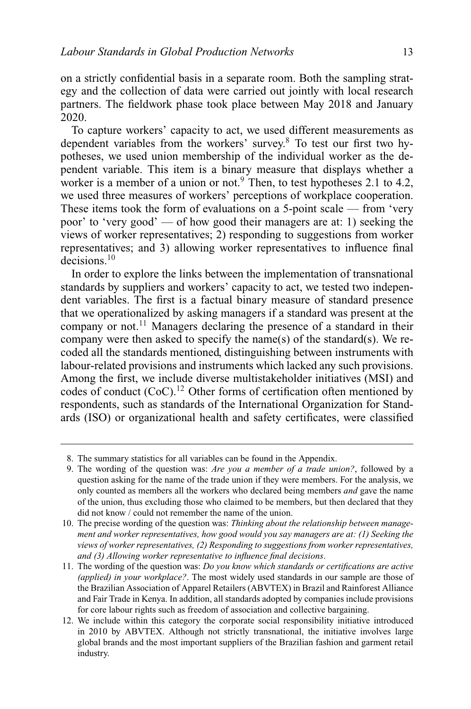on a strictly confidential basis in a separate room. Both the sampling strategy and the collection of data were carried out jointly with local research partners. The fieldwork phase took place between May 2018 and January 2020.

To capture workers' capacity to act, we used different measurements as dependent variables from the workers' survey.8 To test our first two hypotheses, we used union membership of the individual worker as the dependent variable. This item is a binary measure that displays whether a worker is a member of a union or not.<sup>9</sup> Then, to test hypotheses 2.1 to 4.2, we used three measures of workers' perceptions of workplace cooperation. These items took the form of evaluations on a 5-point scale — from 'very poor' to 'very good' — of how good their managers are at: 1) seeking the views of worker representatives; 2) responding to suggestions from worker representatives; and 3) allowing worker representatives to influence final decisions<sup>10</sup>

In order to explore the links between the implementation of transnational standards by suppliers and workers' capacity to act, we tested two independent variables. The first is a factual binary measure of standard presence that we operationalized by asking managers if a standard was present at the company or not.<sup>11</sup> Managers declaring the presence of a standard in their company were then asked to specify the name(s) of the standard(s). We recoded all the standards mentioned, distinguishing between instruments with labour-related provisions and instruments which lacked any such provisions. Among the first, we include diverse multistakeholder initiatives (MSI) and codes of conduct  $(CoC)^{12}$  Other forms of certification often mentioned by respondents, such as standards of the International Organization for Standards (ISO) or organizational health and safety certificates, were classified

<sup>8.</sup> The summary statistics for all variables can be found in the Appendix.

<sup>9.</sup> The wording of the question was: *Are you a member of a trade union?*, followed by a question asking for the name of the trade union if they were members. For the analysis, we only counted as members all the workers who declared being members *and* gave the name of the union, thus excluding those who claimed to be members, but then declared that they did not know / could not remember the name of the union.

<sup>10.</sup> The precise wording of the question was: *Thinking about the relationship between management and worker representatives, how good would you say managers are at: (1) Seeking the views of worker representatives, (2) Responding to suggestions from worker representatives, and (3) Allowing worker representative to influence final decisions*.

<sup>11.</sup> The wording of the question was: *Do you know which standards or certifications are active (applied) in your workplace?*. The most widely used standards in our sample are those of the Brazilian Association of Apparel Retailers (ABVTEX) in Brazil and Rainforest Alliance and Fair Trade in Kenya. In addition, all standards adopted by companies include provisions for core labour rights such as freedom of association and collective bargaining.

<sup>12.</sup> We include within this category the corporate social responsibility initiative introduced in 2010 by ABVTEX. Although not strictly transnational, the initiative involves large global brands and the most important suppliers of the Brazilian fashion and garment retail industry.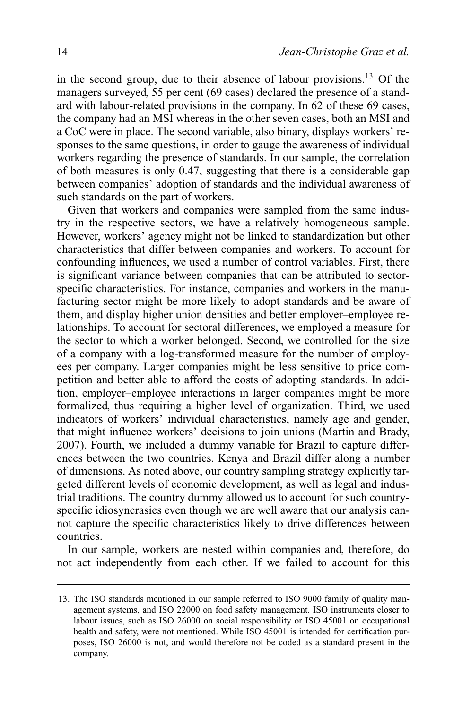in the second group, due to their absence of labour provisions.13 Of the managers surveyed, 55 per cent (69 cases) declared the presence of a standard with labour-related provisions in the company. In 62 of these 69 cases, the company had an MSI whereas in the other seven cases, both an MSI and a CoC were in place. The second variable, also binary, displays workers' responses to the same questions, in order to gauge the awareness of individual workers regarding the presence of standards. In our sample, the correlation of both measures is only 0.47, suggesting that there is a considerable gap between companies' adoption of standards and the individual awareness of such standards on the part of workers.

Given that workers and companies were sampled from the same industry in the respective sectors, we have a relatively homogeneous sample. However, workers' agency might not be linked to standardization but other characteristics that differ between companies and workers. To account for confounding influences, we used a number of control variables. First, there is significant variance between companies that can be attributed to sectorspecific characteristics. For instance, companies and workers in the manufacturing sector might be more likely to adopt standards and be aware of them, and display higher union densities and better employer–employee relationships. To account for sectoral differences, we employed a measure for the sector to which a worker belonged. Second, we controlled for the size of a company with a log-transformed measure for the number of employees per company. Larger companies might be less sensitive to price competition and better able to afford the costs of adopting standards. In addition, employer–employee interactions in larger companies might be more formalized, thus requiring a higher level of organization. Third, we used indicators of workers' individual characteristics, namely age and gender, that might influence workers' decisions to join unions (Martin and Brady, 2007). Fourth, we included a dummy variable for Brazil to capture differences between the two countries. Kenya and Brazil differ along a number of dimensions. As noted above, our country sampling strategy explicitly targeted different levels of economic development, as well as legal and industrial traditions. The country dummy allowed us to account for such countryspecific idiosyncrasies even though we are well aware that our analysis cannot capture the specific characteristics likely to drive differences between countries.

In our sample, workers are nested within companies and, therefore, do not act independently from each other. If we failed to account for this

<sup>13.</sup> The ISO standards mentioned in our sample referred to ISO 9000 family of quality management systems, and ISO 22000 on food safety management. ISO instruments closer to labour issues, such as ISO 26000 on social responsibility or ISO 45001 on occupational health and safety, were not mentioned. While ISO 45001 is intended for certification purposes, ISO 26000 is not, and would therefore not be coded as a standard present in the company.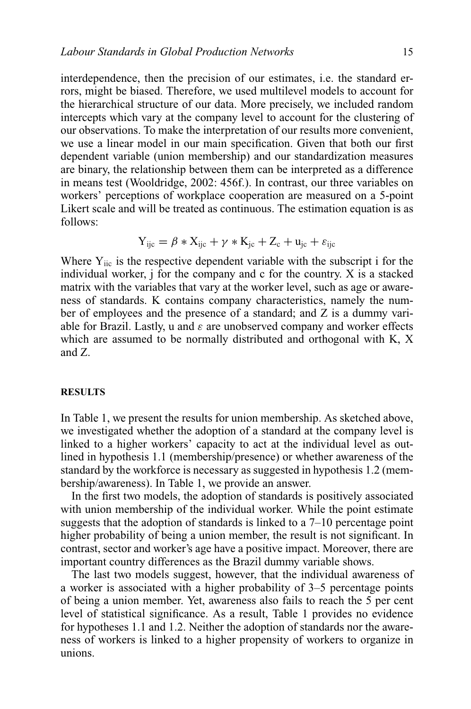interdependence, then the precision of our estimates, i.e. the standard errors, might be biased. Therefore, we used multilevel models to account for the hierarchical structure of our data. More precisely, we included random intercepts which vary at the company level to account for the clustering of our observations. To make the interpretation of our results more convenient, we use a linear model in our main specification. Given that both our first dependent variable (union membership) and our standardization measures are binary, the relationship between them can be interpreted as a difference in means test (Wooldridge, 2002: 456f.). In contrast, our three variables on workers' perceptions of workplace cooperation are measured on a 5-point Likert scale and will be treated as continuous. The estimation equation is as follows:

$$
Y_{ijc} = \beta * X_{ijc} + \gamma * K_{jc} + Z_c + u_{jc} + \varepsilon_{ijc}
$$

Where  $Y_{\text{inc}}$  is the respective dependent variable with the subscript i for the individual worker,  $\mathbf{j}$  for the company and c for the country. X is a stacked matrix with the variables that vary at the worker level, such as age or awareness of standards. K contains company characteristics, namely the number of employees and the presence of a standard; and Z is a dummy variable for Brazil. Lastly, u and  $\varepsilon$  are unobserved company and worker effects which are assumed to be normally distributed and orthogonal with K, X and Z.

#### **RESULTS**

In Table 1, we present the results for union membership. As sketched above, we investigated whether the adoption of a standard at the company level is linked to a higher workers' capacity to act at the individual level as outlined in hypothesis 1.1 (membership/presence) or whether awareness of the standard by the workforce is necessary as suggested in hypothesis 1.2 (membership/awareness). In Table 1, we provide an answer.

In the first two models, the adoption of standards is positively associated with union membership of the individual worker. While the point estimate suggests that the adoption of standards is linked to a 7–10 percentage point higher probability of being a union member, the result is not significant. In contrast, sector and worker's age have a positive impact. Moreover, there are important country differences as the Brazil dummy variable shows.

The last two models suggest, however, that the individual awareness of a worker is associated with a higher probability of 3–5 percentage points of being a union member. Yet, awareness also fails to reach the 5 per cent level of statistical significance. As a result, Table 1 provides no evidence for hypotheses 1.1 and 1.2. Neither the adoption of standards nor the awareness of workers is linked to a higher propensity of workers to organize in unions.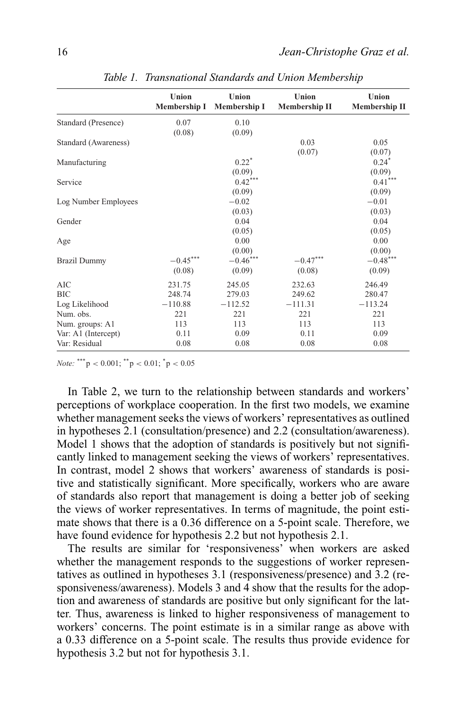|                      | Union<br><b>Membership I</b> | Union<br><b>Membership I</b> | Union<br><b>Membership II</b> | Union<br><b>Membership II</b> |
|----------------------|------------------------------|------------------------------|-------------------------------|-------------------------------|
| Standard (Presence)  | 0.07                         | 0.10                         |                               |                               |
|                      | (0.08)                       | (0.09)                       |                               |                               |
| Standard (Awareness) |                              |                              | 0.03                          | 0.05                          |
|                      |                              |                              | (0.07)                        | (0.07)                        |
| Manufacturing        |                              | $0.22*$                      |                               | $0.24*$                       |
|                      |                              | (0.09)                       |                               | (0.09)                        |
| Service              |                              | $0.42***$                    |                               | $0.41***$                     |
|                      |                              | (0.09)                       |                               | (0.09)                        |
| Log Number Employees |                              | $-0.02$                      |                               | $-0.01$                       |
|                      |                              | (0.03)                       |                               | (0.03)                        |
| Gender               |                              | 0.04                         |                               | 0.04                          |
|                      |                              | (0.05)                       |                               | (0.05)                        |
| Age                  |                              | 0.00                         |                               | 0.00                          |
|                      |                              | (0.00)                       |                               | (0.00)                        |
| <b>Brazil Dummy</b>  | $-0.45***$                   | $-0.46***$                   | $-0.47***$                    | $-0.48***$                    |
|                      | (0.08)                       | (0.09)                       | (0.08)                        | (0.09)                        |
| <b>AIC</b>           | 231.75                       | 245.05                       | 232.63                        | 246.49                        |
| <b>BIC</b>           | 248.74                       | 279.03                       | 249.62                        | 280.47                        |
| Log Likelihood       | $-110.88$                    | $-112.52$                    | $-111.31$                     | $-113.24$                     |
| Num. obs.            | 221                          | 221                          | 221                           | 221                           |
| Num. groups: A1      | 113                          | 113                          | 113                           | 113                           |
| Var: A1 (Intercept)  | 0.11                         | 0.09                         | 0.11                          | 0.09                          |
| Var: Residual        | 0.08                         | 0.08                         | 0.08                          | 0.08                          |
|                      |                              |                              |                               |                               |

*Table 1. Transnational Standards and Union Membership*

*Note:* \*\*\*  $p < 0.001$ ; \*\*  $p < 0.01$ ; \* $p < 0.05$ 

In Table 2, we turn to the relationship between standards and workers' perceptions of workplace cooperation. In the first two models, we examine whether management seeks the views of workers' representatives as outlined in hypotheses 2.1 (consultation/presence) and 2.2 (consultation/awareness). Model 1 shows that the adoption of standards is positively but not significantly linked to management seeking the views of workers' representatives. In contrast, model 2 shows that workers' awareness of standards is positive and statistically significant. More specifically, workers who are aware of standards also report that management is doing a better job of seeking the views of worker representatives. In terms of magnitude, the point estimate shows that there is a 0.36 difference on a 5-point scale. Therefore, we have found evidence for hypothesis 2.2 but not hypothesis 2.1.

The results are similar for 'responsiveness' when workers are asked whether the management responds to the suggestions of worker representatives as outlined in hypotheses 3.1 (responsiveness/presence) and 3.2 (responsiveness/awareness). Models 3 and 4 show that the results for the adoption and awareness of standards are positive but only significant for the latter. Thus, awareness is linked to higher responsiveness of management to workers' concerns. The point estimate is in a similar range as above with a 0.33 difference on a 5-point scale. The results thus provide evidence for hypothesis 3.2 but not for hypothesis 3.1.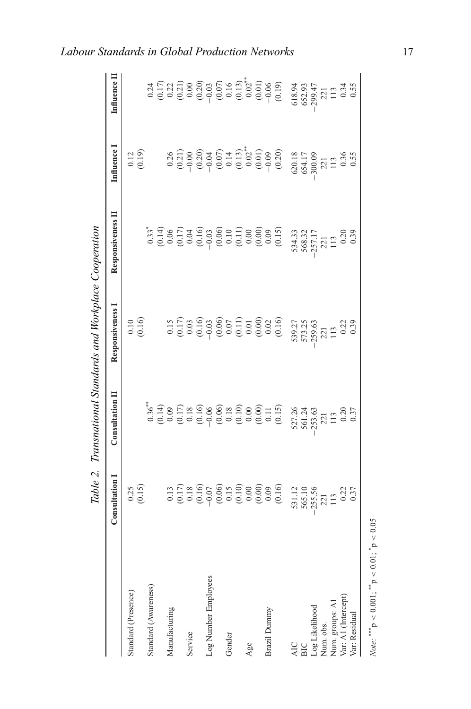|                                                                       |                                                         |                                                                                                                                                                                                                                                                                                                                                                                                                                                                                                                                                                                      | Table 2. Transnational Standards and Workplace Cooperation |                                          |                                                                                                                                                                                                                                                               |             |
|-----------------------------------------------------------------------|---------------------------------------------------------|--------------------------------------------------------------------------------------------------------------------------------------------------------------------------------------------------------------------------------------------------------------------------------------------------------------------------------------------------------------------------------------------------------------------------------------------------------------------------------------------------------------------------------------------------------------------------------------|------------------------------------------------------------|------------------------------------------|---------------------------------------------------------------------------------------------------------------------------------------------------------------------------------------------------------------------------------------------------------------|-------------|
|                                                                       | Consultation                                            | Consultation II                                                                                                                                                                                                                                                                                                                                                                                                                                                                                                                                                                      | Responsiveness 1                                           | Responsiveness II                        | Influence 1                                                                                                                                                                                                                                                   | Influence I |
| Standard (Presence)                                                   |                                                         |                                                                                                                                                                                                                                                                                                                                                                                                                                                                                                                                                                                      |                                                            |                                          |                                                                                                                                                                                                                                                               |             |
|                                                                       | $\begin{array}{c} 0.25 \\ 0.15 \end{array}$             |                                                                                                                                                                                                                                                                                                                                                                                                                                                                                                                                                                                      | $0.10$<br>$(0.16)$                                         |                                          | $\begin{array}{c} 0.12 \\ 0.19 \end{array}$                                                                                                                                                                                                                   |             |
| Standard (Awareness)                                                  |                                                         |                                                                                                                                                                                                                                                                                                                                                                                                                                                                                                                                                                                      |                                                            |                                          |                                                                                                                                                                                                                                                               |             |
|                                                                       |                                                         |                                                                                                                                                                                                                                                                                                                                                                                                                                                                                                                                                                                      |                                                            |                                          |                                                                                                                                                                                                                                                               |             |
| Manufacturing                                                         |                                                         |                                                                                                                                                                                                                                                                                                                                                                                                                                                                                                                                                                                      |                                                            |                                          |                                                                                                                                                                                                                                                               |             |
|                                                                       |                                                         |                                                                                                                                                                                                                                                                                                                                                                                                                                                                                                                                                                                      |                                                            |                                          |                                                                                                                                                                                                                                                               |             |
| Service                                                               |                                                         |                                                                                                                                                                                                                                                                                                                                                                                                                                                                                                                                                                                      |                                                            |                                          |                                                                                                                                                                                                                                                               |             |
|                                                                       |                                                         |                                                                                                                                                                                                                                                                                                                                                                                                                                                                                                                                                                                      |                                                            |                                          |                                                                                                                                                                                                                                                               |             |
| Log Number Employees                                                  |                                                         |                                                                                                                                                                                                                                                                                                                                                                                                                                                                                                                                                                                      |                                                            |                                          |                                                                                                                                                                                                                                                               |             |
|                                                                       |                                                         |                                                                                                                                                                                                                                                                                                                                                                                                                                                                                                                                                                                      |                                                            |                                          |                                                                                                                                                                                                                                                               |             |
| Gender                                                                |                                                         |                                                                                                                                                                                                                                                                                                                                                                                                                                                                                                                                                                                      |                                                            |                                          |                                                                                                                                                                                                                                                               |             |
|                                                                       |                                                         |                                                                                                                                                                                                                                                                                                                                                                                                                                                                                                                                                                                      |                                                            |                                          |                                                                                                                                                                                                                                                               |             |
| Age                                                                   |                                                         |                                                                                                                                                                                                                                                                                                                                                                                                                                                                                                                                                                                      |                                                            |                                          |                                                                                                                                                                                                                                                               |             |
|                                                                       |                                                         |                                                                                                                                                                                                                                                                                                                                                                                                                                                                                                                                                                                      |                                                            |                                          |                                                                                                                                                                                                                                                               |             |
| Brazil Dummy                                                          |                                                         |                                                                                                                                                                                                                                                                                                                                                                                                                                                                                                                                                                                      |                                                            |                                          |                                                                                                                                                                                                                                                               |             |
|                                                                       |                                                         | $\begin{array}{l} \stackrel{\ast}{\circ} \stackrel{\ast}{\circ} \stackrel{\ast}{\circ} \stackrel{\ast}{\circ} \stackrel{\ast}{\circ} \stackrel{\ast}{\circ} \stackrel{\ast}{\circ} \stackrel{\ast}{\circ} \stackrel{\ast}{\circ} \stackrel{\ast}{\circ} \stackrel{\ast}{\circ} \stackrel{\ast}{\circ} \stackrel{\ast}{\circ} \stackrel{\ast}{\circ} \stackrel{\ast}{\circ} \stackrel{\ast}{\circ} \stackrel{\ast}{\circ} \stackrel{\ast}{\circ} \stackrel{\ast}{\circ} \stackrel{\ast}{\circ} \stackrel{\ast}{\circ} \stackrel{\ast}{\circ} \stackrel{\ast}{\circ} \stackrel{\ast}{$ |                                                            |                                          | $\begin{array}{l} 0.000000\\ 0.000000\\ 0.000000\\ 0.000000\\ 0.000000\\ 0.000000\\ 0.000000\\ 0.00000\\ 0.00000\\ 0.00000\\ 0.00000\\ 0.00000\\ 0.00000\\ 0.00000\\ 0.00000\\ 0.00000\\ 0.00000\\ 0.00000\\ 0.00000\\ 0.00000\\ 0.00000\\ 0.00000\\ 0.00000$ |             |
|                                                                       |                                                         |                                                                                                                                                                                                                                                                                                                                                                                                                                                                                                                                                                                      |                                                            |                                          | $\begin{array}{l} 620.18 \\ 654.17 \\ 300.09 \\ 221 \\ 113 \\ 0.36 \\ \end{array}$                                                                                                                                                                            |             |
| AIC<br>BIC                                                            |                                                         |                                                                                                                                                                                                                                                                                                                                                                                                                                                                                                                                                                                      |                                                            |                                          |                                                                                                                                                                                                                                                               |             |
| Log Likelihood<br>Num. obs.<br>Num. groups: A1<br>Var: A1 (Intercept) | 531.12<br>565.10<br>565.56<br>221<br>113<br>113<br>0.37 | 527.26<br>561.24<br>563.63<br>113                                                                                                                                                                                                                                                                                                                                                                                                                                                                                                                                                    | 539.27<br>573.25<br>573.35<br>221<br>113                   | 534.33<br>568.32<br>257.17<br>221<br>113 |                                                                                                                                                                                                                                                               |             |
|                                                                       |                                                         |                                                                                                                                                                                                                                                                                                                                                                                                                                                                                                                                                                                      |                                                            |                                          |                                                                                                                                                                                                                                                               |             |
|                                                                       |                                                         |                                                                                                                                                                                                                                                                                                                                                                                                                                                                                                                                                                                      |                                                            |                                          |                                                                                                                                                                                                                                                               |             |
|                                                                       |                                                         | $0.20$<br>$0.37$                                                                                                                                                                                                                                                                                                                                                                                                                                                                                                                                                                     | 0.25                                                       | $\frac{0.20}{0.39}$                      |                                                                                                                                                                                                                                                               |             |
| Var: Residual                                                         |                                                         |                                                                                                                                                                                                                                                                                                                                                                                                                                                                                                                                                                                      |                                                            |                                          |                                                                                                                                                                                                                                                               |             |
|                                                                       |                                                         |                                                                                                                                                                                                                                                                                                                                                                                                                                                                                                                                                                                      |                                                            |                                          |                                                                                                                                                                                                                                                               |             |

*Labour Standards in Global Production Networks* 17

*Note:* \*\*\*\*  $p < 0.001$ ; \*\*  $p < 0.01$ ; \* $p < 0.05$ *Note:*  $*^{**}p < 0.001$ ;  $*^{*}p < 0.01$ ;  $* > 0.05$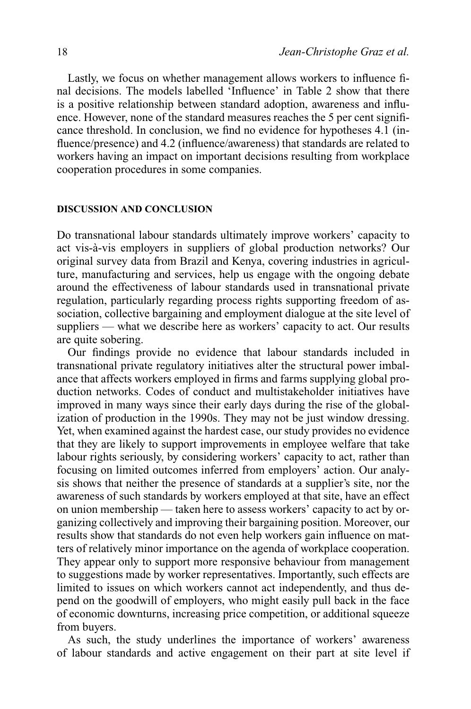Lastly, we focus on whether management allows workers to influence final decisions. The models labelled 'Influence' in Table 2 show that there is a positive relationship between standard adoption, awareness and influence. However, none of the standard measures reaches the 5 per cent significance threshold. In conclusion, we find no evidence for hypotheses 4.1 (influence/presence) and 4.2 (influence/awareness) that standards are related to workers having an impact on important decisions resulting from workplace cooperation procedures in some companies.

#### **DISCUSSION AND CONCLUSION**

Do transnational labour standards ultimately improve workers' capacity to act vis-à-vis employers in suppliers of global production networks? Our original survey data from Brazil and Kenya, covering industries in agriculture, manufacturing and services, help us engage with the ongoing debate around the effectiveness of labour standards used in transnational private regulation, particularly regarding process rights supporting freedom of association, collective bargaining and employment dialogue at the site level of suppliers — what we describe here as workers' capacity to act. Our results are quite sobering.

Our findings provide no evidence that labour standards included in transnational private regulatory initiatives alter the structural power imbalance that affects workers employed in firms and farms supplying global production networks. Codes of conduct and multistakeholder initiatives have improved in many ways since their early days during the rise of the globalization of production in the 1990s. They may not be just window dressing. Yet, when examined against the hardest case, our study provides no evidence that they are likely to support improvements in employee welfare that take labour rights seriously, by considering workers' capacity to act, rather than focusing on limited outcomes inferred from employers' action. Our analysis shows that neither the presence of standards at a supplier's site, nor the awareness of such standards by workers employed at that site, have an effect on union membership — taken here to assess workers' capacity to act by organizing collectively and improving their bargaining position. Moreover, our results show that standards do not even help workers gain influence on matters of relatively minor importance on the agenda of workplace cooperation. They appear only to support more responsive behaviour from management to suggestions made by worker representatives. Importantly, such effects are limited to issues on which workers cannot act independently, and thus depend on the goodwill of employers, who might easily pull back in the face of economic downturns, increasing price competition, or additional squeeze from buyers.

As such, the study underlines the importance of workers' awareness of labour standards and active engagement on their part at site level if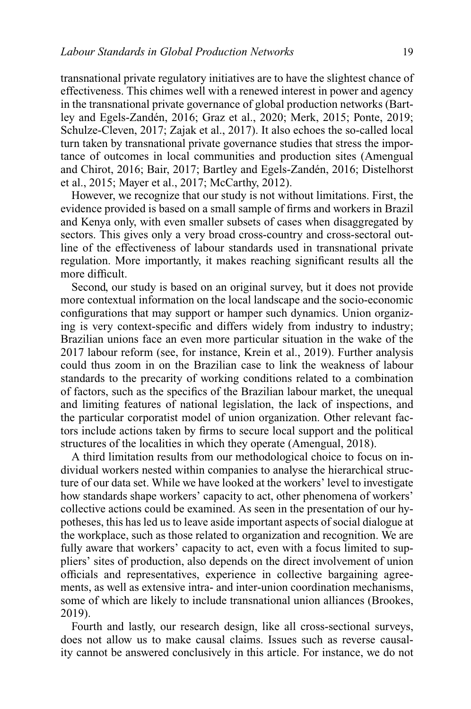transnational private regulatory initiatives are to have the slightest chance of effectiveness. This chimes well with a renewed interest in power and agency in the transnational private governance of global production networks (Bartley and Egels-Zandén, 2016; Graz et al., 2020; Merk, 2015; Ponte, 2019; Schulze-Cleven, 2017; Zajak et al., 2017). It also echoes the so-called local turn taken by transnational private governance studies that stress the importance of outcomes in local communities and production sites (Amengual and Chirot, 2016; Bair, 2017; Bartley and Egels-Zandén, 2016; Distelhorst et al., 2015; Mayer et al., 2017; McCarthy, 2012).

However, we recognize that our study is not without limitations. First, the evidence provided is based on a small sample of firms and workers in Brazil and Kenya only, with even smaller subsets of cases when disaggregated by sectors. This gives only a very broad cross-country and cross-sectoral outline of the effectiveness of labour standards used in transnational private regulation. More importantly, it makes reaching significant results all the more difficult.

Second, our study is based on an original survey, but it does not provide more contextual information on the local landscape and the socio-economic configurations that may support or hamper such dynamics. Union organizing is very context-specific and differs widely from industry to industry; Brazilian unions face an even more particular situation in the wake of the 2017 labour reform (see, for instance, Krein et al., 2019). Further analysis could thus zoom in on the Brazilian case to link the weakness of labour standards to the precarity of working conditions related to a combination of factors, such as the specifics of the Brazilian labour market, the unequal and limiting features of national legislation, the lack of inspections, and the particular corporatist model of union organization. Other relevant factors include actions taken by firms to secure local support and the political structures of the localities in which they operate (Amengual, 2018).

A third limitation results from our methodological choice to focus on individual workers nested within companies to analyse the hierarchical structure of our data set. While we have looked at the workers' level to investigate how standards shape workers' capacity to act, other phenomena of workers' collective actions could be examined. As seen in the presentation of our hypotheses, this has led us to leave aside important aspects of social dialogue at the workplace, such as those related to organization and recognition. We are fully aware that workers' capacity to act, even with a focus limited to suppliers' sites of production, also depends on the direct involvement of union officials and representatives, experience in collective bargaining agreements, as well as extensive intra- and inter-union coordination mechanisms, some of which are likely to include transnational union alliances (Brookes, 2019).

Fourth and lastly, our research design, like all cross-sectional surveys, does not allow us to make causal claims. Issues such as reverse causality cannot be answered conclusively in this article. For instance, we do not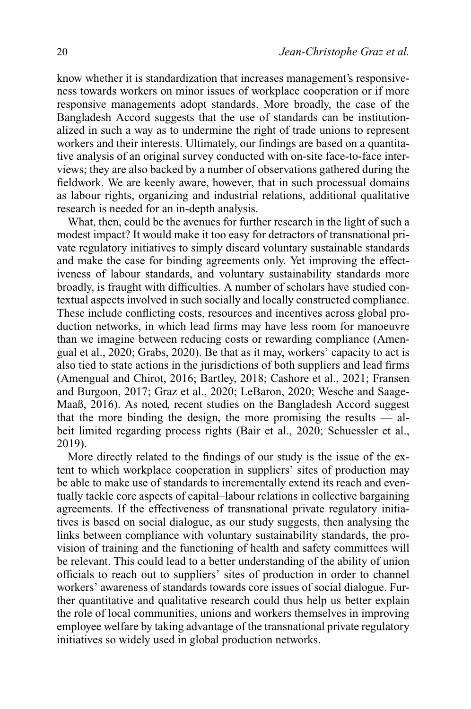know whether it is standardization that increases management's responsiveness towards workers on minor issues of workplace cooperation or if more responsive managements adopt standards. More broadly, the case of the Bangladesh Accord suggests that the use of standards can be institutionalized in such a way as to undermine the right of trade unions to represent workers and their interests. Ultimately, our findings are based on a quantitative analysis of an original survey conducted with on-site face-to-face interviews; they are also backed by a number of observations gathered during the fieldwork. We are keenly aware, however, that in such processual domains as labour rights, organizing and industrial relations, additional qualitative research is needed for an in-depth analysis.

What, then, could be the avenues for further research in the light of such a modest impact? It would make it too easy for detractors of transnational private regulatory initiatives to simply discard voluntary sustainable standards and make the case for binding agreements only. Yet improving the effectiveness of labour standards, and voluntary sustainability standards more broadly, is fraught with difficulties. A number of scholars have studied contextual aspects involved in such socially and locally constructed compliance. These include conflicting costs, resources and incentives across global production networks, in which lead firms may have less room for manoeuvre than we imagine between reducing costs or rewarding compliance (Amengual et al., 2020; Grabs, 2020). Be that as it may, workers' capacity to act is also tied to state actions in the jurisdictions of both suppliers and lead firms (Amengual and Chirot, 2016; Bartley, 2018; Cashore et al., 2021; Fransen and Burgoon, 2017; Graz et al., 2020; LeBaron, 2020; Wesche and Saage-Maaß, 2016). As noted, recent studies on the Bangladesh Accord suggest that the more binding the design, the more promising the results  $-$  albeit limited regarding process rights (Bair et al., 2020; Schuessler et al., 2019).

More directly related to the findings of our study is the issue of the extent to which workplace cooperation in suppliers' sites of production may be able to make use of standards to incrementally extend its reach and eventually tackle core aspects of capital–labour relations in collective bargaining agreements. If the effectiveness of transnational private regulatory initiatives is based on social dialogue, as our study suggests, then analysing the links between compliance with voluntary sustainability standards, the provision of training and the functioning of health and safety committees will be relevant. This could lead to a better understanding of the ability of union officials to reach out to suppliers' sites of production in order to channel workers' awareness of standards towards core issues of social dialogue. Further quantitative and qualitative research could thus help us better explain the role of local communities, unions and workers themselves in improving employee welfare by taking advantage of the transnational private regulatory initiatives so widely used in global production networks.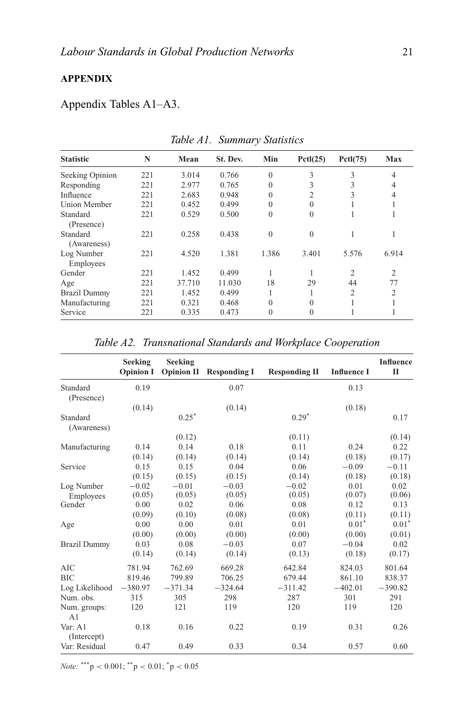# **APPENDIX**

# Appendix Tables A1–A3.

| <b>Statistic</b>        | N   | Mean   | St. Dev. | Min          | Pctl(25) | PctI(75)       | Max            |
|-------------------------|-----|--------|----------|--------------|----------|----------------|----------------|
| Seeking Opinion         | 221 | 3.014  | 0.766    | $\Omega$     | 3        | 3              | $\overline{4}$ |
| Responding              | 221 | 2.977  | 0.765    | $\theta$     | 3        | 3              | 4              |
| Influence               | 221 | 2.683  | 0.948    | $\theta$     | 2        | 3              | 4              |
| Union Member            | 221 | 0.452  | 0.499    | $\theta$     | 0        |                |                |
| Standard                | 221 | 0.529  | 0.500    | $\mathbf{0}$ | $\theta$ |                |                |
| (Presence)              |     |        |          |              |          |                |                |
| Standard<br>(Awareness) | 221 | 0.258  | 0.438    | $\mathbf{0}$ | $\theta$ |                |                |
| Log Number<br>Employees | 221 | 4.520  | 1.381    | 1.386        | 3.401    | 5.576          | 6.914          |
| Gender                  | 221 | 1.452  | 0.499    |              |          | $\mathfrak{D}$ | $\overline{2}$ |
| Age                     | 221 | 37.710 | 11.030   | 18           | 29       | 44             | 77             |
| <b>Brazil Dummy</b>     | 221 | 1.452  | 0.499    |              |          | 2              | $\overline{c}$ |
| Manufacturing           | 221 | 0.321  | 0.468    | $\theta$     | 0        |                |                |
| Service                 | 221 | 0.335  | 0.473    | $\theta$     | $\theta$ |                |                |

*Table A1. Summary Statistics*

| Age                                                         | 221              | 37.710    | 11.030                         | 18<br>29                 | 44                 | 77                  |  |
|-------------------------------------------------------------|------------------|-----------|--------------------------------|--------------------------|--------------------|---------------------|--|
| <b>Brazil Dummy</b>                                         | 221              | 1.452     | 0.499                          | 1<br>1                   | $\overline{c}$     | $\overline{2}$      |  |
| Manufacturing                                               | 221              | 0.321     | 0.468                          | $\theta$<br>$\theta$     | $\mathbf{1}$       | 1                   |  |
| Service                                                     | 221              | 0.335     | 0.473                          | $\mathbf{0}$<br>$\theta$ | $\mathbf{1}$       | 1                   |  |
|                                                             |                  |           |                                |                          |                    |                     |  |
| Table A2. Transnational Standards and Workplace Cooperation |                  |           |                                |                          |                    |                     |  |
|                                                             | <b>Seeking</b>   | Seeking   |                                |                          |                    | <b>Influence</b>    |  |
|                                                             | <b>Opinion I</b> |           | <b>Opinion II</b> Responding I | <b>Responding II</b>     | <b>Influence I</b> | $\mathbf{I}$        |  |
| Standard<br>(Presence)                                      | 0.19             |           | 0.07                           |                          | 0.13               |                     |  |
|                                                             | (0.14)           |           | (0.14)                         |                          | (0.18)             |                     |  |
| Standard<br>(Awareness)                                     |                  | $0.25^*$  |                                | $0.29*$                  |                    | 0.17                |  |
|                                                             |                  | (0.12)    |                                | (0.11)                   |                    | (0.14)              |  |
| Manufacturing                                               | 0.14             | 0.14      | 0.18                           | 0.11                     | 0.24               | 0.22                |  |
|                                                             | (0.14)           | (0.14)    | (0.14)                         | (0.14)                   | (0.18)             | (0.17)              |  |
| Service                                                     | 0.15             | 0.15      | 0.04                           | 0.06                     | $-0.09$            | $-0.11$             |  |
|                                                             | (0.15)           | (0.15)    | (0.15)                         | (0.14)                   | (0.18)             | (0.18)              |  |
| Log Number                                                  | $-0.02$          | $-0.01$   | $-0.03$                        | $-0.02$                  | 0.01               | 0.02                |  |
| Employees                                                   | (0.05)           | (0.05)    | (0.05)                         | (0.05)                   | (0.07)             | (0.06)              |  |
| Gender                                                      | 0.00             | 0.02      | 0.06                           | 0.08                     | 0.12               | 0.13                |  |
|                                                             | (0.09)           | (0.10)    | (0.08)                         | (0.08)                   | (0.11)             | (0.11)              |  |
| Age                                                         | 0.00             | 0.00      | 0.01                           | 0.01                     | 0.01"              | $0.01$ <sup>*</sup> |  |
|                                                             | (0.00)           | (0.00)    | (0.00)                         | (0.00)                   | (0.00)             | (0.01)              |  |
| <b>Brazil Dummy</b>                                         | 0.03             | 0.08      | $-0.03$                        | 0.07                     | $-0.04$            | 0.02                |  |
|                                                             | (0.14)           | (0.14)    | (0.14)                         | (0.13)                   | (0.18)             | (0.17)              |  |
| <b>AIC</b>                                                  | 781.94           | 762.69    | 669.28                         | 642.84                   | 824.03             | 801.64              |  |
| <b>BIC</b>                                                  | 819.46           | 799.89    | 706.25                         | 679.44                   | 861.10             | 838.37              |  |
| Log Likelihood                                              | $-380.97$        | $-371.34$ | $-324.64$                      | $-311.42$                | $-402.01$          | $-390.82$           |  |
| Num. obs.                                                   | 315              | 305       | 298                            | 287                      | 301                | 291                 |  |
| Num. groups:<br>A <sub>1</sub>                              | 120              | 121       | 119                            | 120                      | 119                | 120                 |  |
| Var: A1<br>(Intercept)                                      | 0.18             | 0.16      | 0.22                           | 0.19                     | 0.31               | 0.26                |  |
| Var: Residual                                               | 0.47             | 0.49      | 0.33                           | 0.34                     | 0.57               | 0.60                |  |
|                                                             |                  |           |                                |                          |                    |                     |  |

*Note:* \*\*\*p < 0.001; \*\*p < 0.01; \*p < 0.05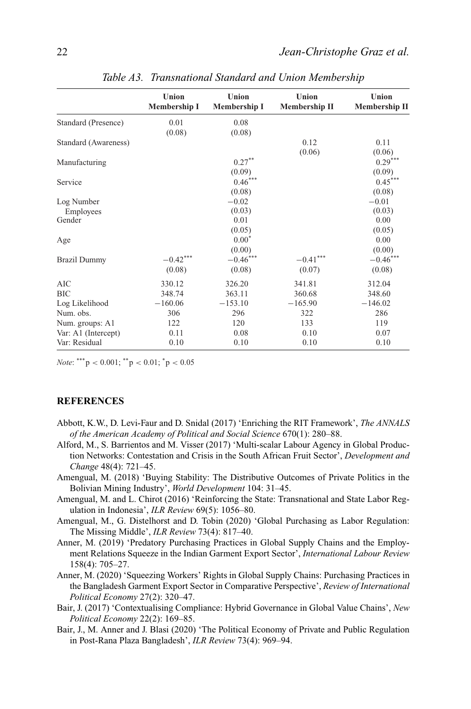|                      | Union<br><b>Membership I</b> | Union<br><b>Membership I</b> | Union<br>Membership II | Union<br>Membership II |
|----------------------|------------------------------|------------------------------|------------------------|------------------------|
| Standard (Presence)  | 0.01                         | 0.08                         |                        |                        |
|                      | (0.08)                       | (0.08)                       |                        |                        |
| Standard (Awareness) |                              |                              | 0.12                   | 0.11                   |
|                      |                              |                              | (0.06)                 | (0.06)                 |
| Manufacturing        |                              | $0.27***$                    |                        | $0.29***$              |
|                      |                              | (0.09)                       |                        | (0.09)                 |
| Service              |                              | $0.46***$                    |                        | $0.45***$              |
|                      |                              | (0.08)                       |                        | (0.08)                 |
| Log Number           |                              | $-0.02$                      |                        | $-0.01$                |
| Employees            |                              | (0.03)                       |                        | (0.03)                 |
| Gender               |                              | 0.01                         |                        | 0.00                   |
|                      |                              | (0.05)                       |                        | (0.05)                 |
| Age                  |                              | $0.00*$                      |                        | 0.00                   |
|                      |                              | (0.00)                       |                        | (0.00)                 |
| <b>Brazil Dummy</b>  | $-0.42***$                   | $-0.46***$                   | $-0.41***$             | $-0.46"$               |
|                      | (0.08)                       | (0.08)                       | (0.07)                 | (0.08)                 |
| AIC                  | 330.12                       | 326.20                       | 341.81                 | 312.04                 |
| <b>BIC</b>           | 348.74                       | 363.11                       | 360.68                 | 348.60                 |
| Log Likelihood       | $-160.06$                    | $-153.10$                    | $-165.90$              | $-146.02$              |
| Num. obs.            | 306                          | 296                          | 322                    | 286                    |
| Num. groups: A1      | 122                          | 120                          | 133                    | 119                    |
| Var: A1 (Intercept)  | 0.11                         | 0.08                         | 0.10                   | 0.07                   |
| Var: Residual        | 0.10                         | 0.10                         | 0.10                   | 0.10                   |
|                      |                              |                              |                        |                        |

*Table A3. Transnational Standard and Union Membership*

*Note*: \*\*\*  $p < 0.001$ ; \*\*  $p < 0.01$ ; \* $p < 0.05$ 

# **REFERENCES**

- Abbott, K.W., D. Levi-Faur and D. Snidal (2017) 'Enriching the RIT Framework', *The ANNALS of the American Academy of Political and Social Science* 670(1): 280–88.
- Alford, M., S. Barrientos and M. Visser (2017) 'Multi-scalar Labour Agency in Global Production Networks: Contestation and Crisis in the South African Fruit Sector', *Development and Change* 48(4): 721–45.
- Amengual, M. (2018) 'Buying Stability: The Distributive Outcomes of Private Politics in the Bolivian Mining Industry', *World Development* 104: 31–45.
- Amengual, M. and L. Chirot (2016) 'Reinforcing the State: Transnational and State Labor Regulation in Indonesia', *ILR Review* 69(5): 1056–80.
- Amengual, M., G. Distelhorst and D. Tobin (2020) 'Global Purchasing as Labor Regulation: The Missing Middle', *ILR Review* 73(4): 817–40.
- Anner, M. (2019) 'Predatory Purchasing Practices in Global Supply Chains and the Employment Relations Squeeze in the Indian Garment Export Sector', *International Labour Review* 158(4): 705–27.
- Anner, M. (2020) 'Squeezing Workers' Rights in Global Supply Chains: Purchasing Practices in the Bangladesh Garment Export Sector in Comparative Perspective', *Review of International Political Economy* 27(2): 320–47.
- Bair, J. (2017) 'Contextualising Compliance: Hybrid Governance in Global Value Chains', *New Political Economy* 22(2): 169–85.
- Bair, J., M. Anner and J. Blasi (2020) 'The Political Economy of Private and Public Regulation in Post-Rana Plaza Bangladesh', *ILR Review* 73(4): 969–94.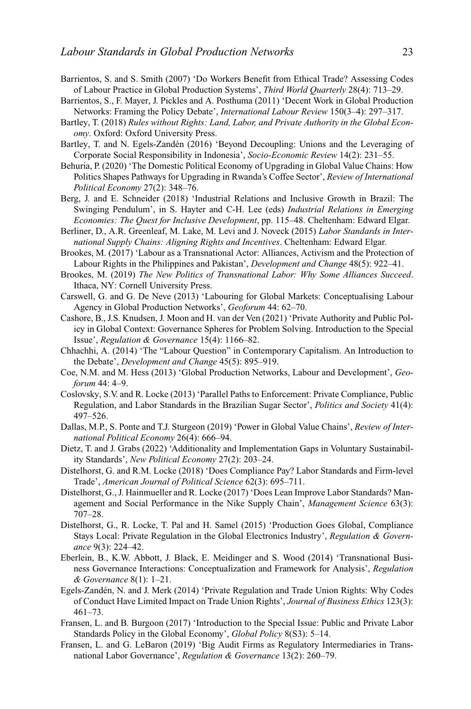- Barrientos, S. and S. Smith (2007) 'Do Workers Benefit from Ethical Trade? Assessing Codes of Labour Practice in Global Production Systems', *Third World Quarterly* 28(4): 713–29.
- Barrientos, S., F. Mayer, J. Pickles and A. Posthuma (2011) 'Decent Work in Global Production Networks: Framing the Policy Debate', *International Labour Review* 150(3–4): 297–317.
- Bartley, T. (2018) *Rules without Rights: Land, Labor, and Private Authority in the Global Economy*. Oxford: Oxford University Press.
- Bartley, T. and N. Egels-Zandén (2016) 'Beyond Decoupling: Unions and the Leveraging of Corporate Social Responsibility in Indonesia', *Socio-Economic Review* 14(2): 231–55.
- Behuria, P. (2020) 'The Domestic Political Economy of Upgrading in Global Value Chains: How Politics Shapes Pathways for Upgrading in Rwanda's Coffee Sector', *Review of International Political Economy* 27(2): 348–76.
- Berg, J. and E. Schneider (2018) 'Industrial Relations and Inclusive Growth in Brazil: The Swinging Pendulum', in S. Hayter and C-H. Lee (eds) *Industrial Relations in Emerging Economies: The Quest for Inclusive Development*, pp. 115–48. Cheltenham: Edward Elgar.
- Berliner, D., A.R. Greenleaf, M. Lake, M. Levi and J. Noveck (2015) *Labor Standards in International Supply Chains: Aligning Rights and Incentives*. Cheltenham: Edward Elgar.
- Brookes, M. (2017) 'Labour as a Transnational Actor: Alliances, Activism and the Protection of Labour Rights in the Philippines and Pakistan', *Development and Change* 48(5): 922–41.
- Brookes, M. (2019) *The New Politics of Transnational Labor: Why Some Alliances Succeed*. Ithaca, NY: Cornell University Press.
- Carswell, G. and G. De Neve (2013) 'Labouring for Global Markets: Conceptualising Labour Agency in Global Production Networks', *Geoforum* 44: 62–70.
- Cashore, B., J.S. Knudsen, J. Moon and H. van der Ven (2021) 'Private Authority and Public Policy in Global Context: Governance Spheres for Problem Solving. Introduction to the Special Issue', *Regulation & Governance* 15(4): 1166–82.
- Chhachhi, A. (2014) 'The "Labour Question" in Contemporary Capitalism. An Introduction to the Debate', *Development and Change* 45(5): 895–919.
- Coe, N.M. and M. Hess (2013) 'Global Production Networks, Labour and Development', *Geoforum* 44: 4–9.
- Coslovsky, S.V. and R. Locke (2013) 'Parallel Paths to Enforcement: Private Compliance, Public Regulation, and Labor Standards in the Brazilian Sugar Sector', *Politics and Society* 41(4): 497–526.
- Dallas, M.P., S. Ponte and T.J. Sturgeon (2019) 'Power in Global Value Chains', *Review of International Political Economy* 26(4): 666–94.
- Dietz, T. and J. Grabs (2022) 'Additionality and Implementation Gaps in Voluntary Sustainability Standards', *New Political Economy* 27(2): 203–24.
- Distelhorst, G. and R.M. Locke (2018) 'Does Compliance Pay? Labor Standards and Firm-level Trade', *American Journal of Political Science* 62(3): 695–711.
- Distelhorst, G., J. Hainmueller and R. Locke (2017) 'Does Lean Improve Labor Standards? Management and Social Performance in the Nike Supply Chain', *Management Science* 63(3): 707–28.
- Distelhorst, G., R. Locke, T. Pal and H. Samel (2015) 'Production Goes Global, Compliance Stays Local: Private Regulation in the Global Electronics Industry', *Regulation & Governance* 9(3): 224–42.
- Eberlein, B., K.W. Abbott, J. Black, E. Meidinger and S. Wood (2014) 'Transnational Business Governance Interactions: Conceptualization and Framework for Analysis', *Regulation & Governance* 8(1): 1–21.
- Egels-Zandén, N. and J. Merk (2014) 'Private Regulation and Trade Union Rights: Why Codes of Conduct Have Limited Impact on Trade Union Rights', *Journal of Business Ethics* 123(3): 461–73.
- Fransen, L. and B. Burgoon (2017) 'Introduction to the Special Issue: Public and Private Labor Standards Policy in the Global Economy', *Global Policy* 8(S3): 5–14.
- Fransen, L. and G. LeBaron (2019) 'Big Audit Firms as Regulatory Intermediaries in Transnational Labor Governance', *Regulation & Governance* 13(2): 260–79.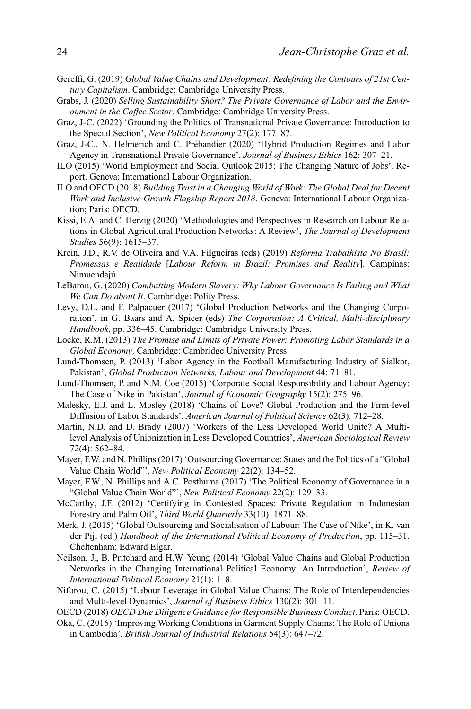- Gereffi, G. (2019) *Global Value Chains and Development: Redefining the Contours of 21st Century Capitalism*. Cambridge: Cambridge University Press.
- Grabs, J. (2020) *Selling Sustainability Short? The Private Governance of Labor and the Environment in the Coffee Sector*. Cambridge: Cambridge University Press.
- Graz, J-C. (2022) 'Grounding the Politics of Transnational Private Governance: Introduction to the Special Section', *New Political Economy* 27(2): 177–87.
- Graz, J-C., N. Helmerich and C. Prébandier (2020) 'Hybrid Production Regimes and Labor Agency in Transnational Private Governance', *Journal of Business Ethics* 162: 307–21.
- ILO (2015) 'World Employment and Social Outlook 2015: The Changing Nature of Jobs'. Report. Geneva: International Labour Organization.
- ILO and OECD (2018) *Building Trust in a Changing World of Work: The Global Deal for Decent Work and Inclusive Growth Flagship Report 2018*. Geneva: International Labour Organization; Paris: OECD.
- Kissi, E.A. and C. Herzig (2020) 'Methodologies and Perspectives in Research on Labour Relations in Global Agricultural Production Networks: A Review', *The Journal of Development Studies* 56(9): 1615–37.
- Krein, J.D., R.V. de Oliveira and V.A. Filgueiras (eds) (2019) *Reforma Trabalhista No Brasil: Promessas e Realidade* [*Labour Reform in Brazil: Promises and Reality*]. Campinas: Nimuendajú.
- LeBaron, G. (2020) *Combatting Modern Slavery: Why Labour Governance Is Failing and What We Can Do about It*. Cambridge: Polity Press.
- Levy, D.L. and F. Palpacuer (2017) 'Global Production Networks and the Changing Corporation', in G. Baars and A. Spicer (eds) *The Corporation: A Critical, Multi-disciplinary Handbook*, pp. 336–45. Cambridge: Cambridge University Press.
- Locke, R.M. (2013) *The Promise and Limits of Private Power: Promoting Labor Standards in a Global Economy*. Cambridge: Cambridge University Press.
- Lund-Thomsen, P. (2013) 'Labor Agency in the Football Manufacturing Industry of Sialkot, Pakistan', *Global Production Networks, Labour and Development* 44: 71–81.
- Lund-Thomsen, P. and N.M. Coe (2015) 'Corporate Social Responsibility and Labour Agency: The Case of Nike in Pakistan', *Journal of Economic Geography* 15(2): 275–96.
- Malesky, E.J. and L. Mosley (2018) 'Chains of Love? Global Production and the Firm-level Diffusion of Labor Standards', *American Journal of Political Science* 62(3): 712–28.
- Martin, N.D. and D. Brady (2007) 'Workers of the Less Developed World Unite? A Multilevel Analysis of Unionization in Less Developed Countries', *American Sociological Review* 72(4): 562–84.
- Mayer, F.W. and N. Phillips (2017) 'Outsourcing Governance: States and the Politics of a "Global Value Chain World"', *New Political Economy* 22(2): 134–52.
- Mayer, F.W., N. Phillips and A.C. Posthuma (2017) 'The Political Economy of Governance in a "Global Value Chain World"', *New Political Economy* 22(2): 129–33.
- McCarthy, J.F. (2012) 'Certifying in Contested Spaces: Private Regulation in Indonesian Forestry and Palm Oil', *Third World Quarterly* 33(10): 1871–88.
- Merk, J. (2015) 'Global Outsourcing and Socialisation of Labour: The Case of Nike', in K. van der Pijl (ed.) *Handbook of the International Political Economy of Production*, pp. 115–31. Cheltenham: Edward Elgar.
- Neilson, J., B. Pritchard and H.W. Yeung (2014) 'Global Value Chains and Global Production Networks in the Changing International Political Economy: An Introduction', *Review of International Political Economy* 21(1): 1–8.
- Niforou, C. (2015) 'Labour Leverage in Global Value Chains: The Role of Interdependencies and Multi-level Dynamics', *Journal of Business Ethics* 130(2): 301–11.

OECD (2018) *OECD Due Diligence Guidance for Responsible Business Conduct*. Paris: OECD.

Oka, C. (2016) 'Improving Working Conditions in Garment Supply Chains: The Role of Unions in Cambodia', *British Journal of Industrial Relations* 54(3): 647–72.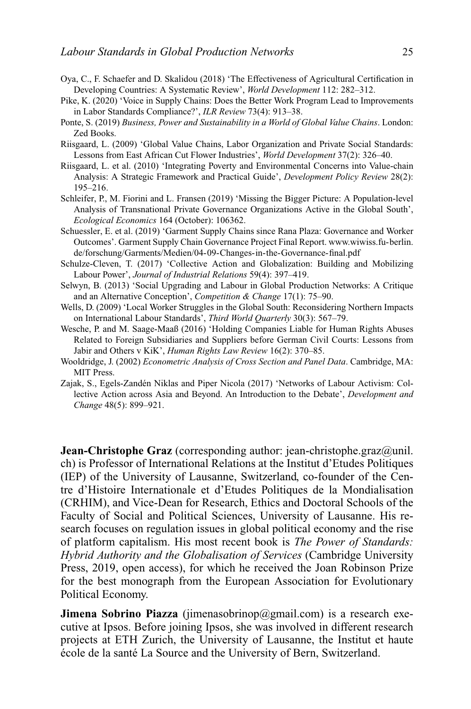- Oya, C., F. Schaefer and D. Skalidou (2018) 'The Effectiveness of Agricultural Certification in Developing Countries: A Systematic Review', *World Development* 112: 282–312.
- Pike, K. (2020) 'Voice in Supply Chains: Does the Better Work Program Lead to Improvements in Labor Standards Compliance?', *ILR Review* 73(4): 913–38.
- Ponte, S. (2019) *Business, Power and Sustainability in a World of Global Value Chains*. London: Zed Books.
- Riisgaard, L. (2009) 'Global Value Chains, Labor Organization and Private Social Standards: Lessons from East African Cut Flower Industries', *World Development* 37(2): 326–40.
- Riisgaard, L. et al. (2010) 'Integrating Poverty and Environmental Concerns into Value-chain Analysis: A Strategic Framework and Practical Guide', *Development Policy Review* 28(2): 195–216.
- Schleifer, P., M. Fiorini and L. Fransen (2019) 'Missing the Bigger Picture: A Population-level Analysis of Transnational Private Governance Organizations Active in the Global South', *Ecological Economics* 164 (October): 106362.
- Schuessler, E. et al. (2019) 'Garment Supply Chains since Rana Plaza: Governance and Worker Outcomes'. Garment Supply Chain Governance Project Final Report. [www.wiwiss.fu-berlin.](http://www.wiwiss.fu-berlin.de/forschung/Garments/Medien/04-09-Changes-in-the-Governance-final.pdf) [de/forschung/Garments/Medien/04-09-Changes-in-the-Governance-final.pdf](http://www.wiwiss.fu-berlin.de/forschung/Garments/Medien/04-09-Changes-in-the-Governance-final.pdf)
- Schulze-Cleven, T. (2017) 'Collective Action and Globalization: Building and Mobilizing Labour Power', *Journal of Industrial Relations* 59(4): 397–419.
- Selwyn, B. (2013) 'Social Upgrading and Labour in Global Production Networks: A Critique and an Alternative Conception', *Competition & Change* 17(1): 75–90.
- Wells, D. (2009) 'Local Worker Struggles in the Global South: Reconsidering Northern Impacts on International Labour Standards', *Third World Quarterly* 30(3): 567–79.
- Wesche, P. and M. Saage-Maaß (2016) 'Holding Companies Liable for Human Rights Abuses Related to Foreign Subsidiaries and Suppliers before German Civil Courts: Lessons from Jabir and Others v KiK', *Human Rights Law Review* 16(2): 370–85.
- Wooldridge, J. (2002) *Econometric Analysis of Cross Section and Panel Data*. Cambridge, MA: MIT Press.
- Zajak, S., Egels-Zandén Niklas and Piper Nicola (2017) 'Networks of Labour Activism: Collective Action across Asia and Beyond. An Introduction to the Debate', *Development and Change* 48(5): 899–921.

**Jean-Christophe Graz** (corresponding author: jean-christophe.graz@unil. ch) is Professor of International Relations at the Institut d'Etudes Politiques (IEP) of the University of Lausanne, Switzerland, co-founder of the Centre d'Histoire Internationale et d'Etudes Politiques de la Mondialisation (CRHIM), and Vice-Dean for Research, Ethics and Doctoral Schools of the Faculty of Social and Political Sciences, University of Lausanne. His research focuses on regulation issues in global political economy and the rise of platform capitalism. His most recent book is *The Power of Standards: Hybrid Authority and the Globalisation of Services* (Cambridge University Press, 2019, open access), for which he received the Joan Robinson Prize for the best monograph from the European Association for Evolutionary Political Economy.

**Jimena Sobrino Piazza** (jimenasobrinop@gmail.com) is a research executive at Ipsos. Before joining Ipsos, she was involved in different research projects at ETH Zurich, the University of Lausanne, the Institut et haute école de la santé La Source and the University of Bern, Switzerland.